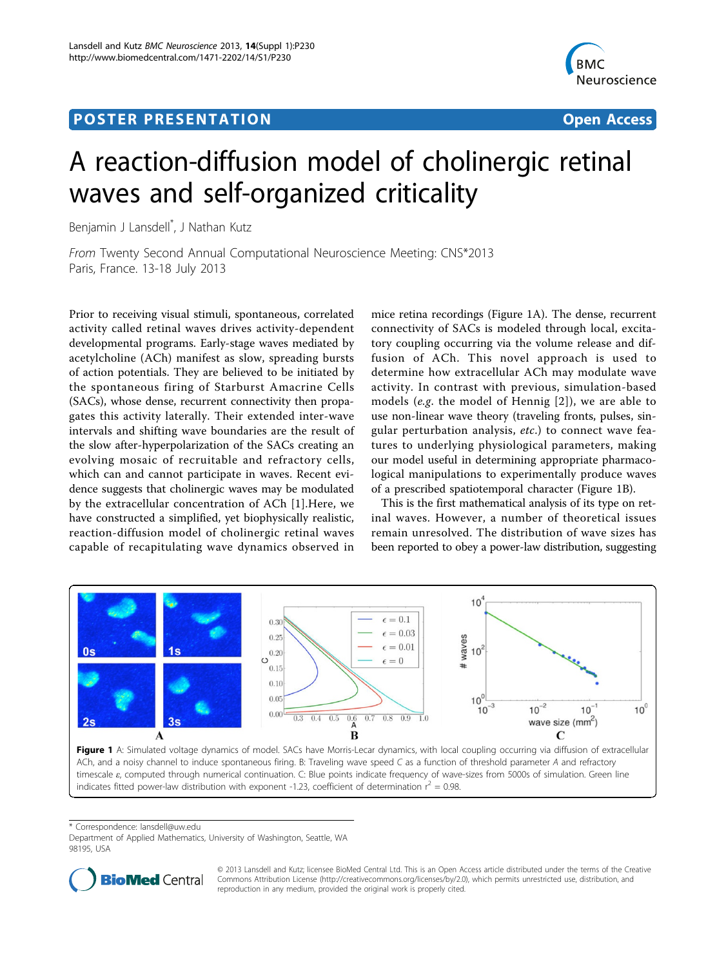## <span id="page-0-0"></span>Post Experimental Police in the St English Police in the St English Police in the St English Police in the St<br>Police in the St English Police in the St English Police in the St English Police in the St English Police in



# A reaction-diffusion model of cholinergic retinal waves and self-organized criticality

Benjamin J Lansdell\* , J Nathan Kutz

From Twenty Second Annual Computational Neuroscience Meeting: CNS\*2013 Paris, France. 13-18 July 2013

Prior to receiving visual stimuli, spontaneous, correlated activity called retinal waves drives activity-dependent developmental programs. Early-stage waves mediated by acetylcholine (ACh) manifest as slow, spreading bursts of action potentials. They are believed to be initiated by the spontaneous firing of Starburst Amacrine Cells (SACs), whose dense, recurrent connectivity then propagates this activity laterally. Their extended inter-wave intervals and shifting wave boundaries are the result of the slow after-hyperpolarization of the SACs creating an evolving mosaic of recruitable and refractory cells, which can and cannot participate in waves. Recent evidence suggests that cholinergic waves may be modulated by the extracellular concentration of ACh [[1](#page-1-0)].Here, we have constructed a simplified, yet biophysically realistic, reaction-diffusion model of cholinergic retinal waves capable of recapitulating wave dynamics observed in

mice retina recordings (Figure 1A). The dense, recurrent connectivity of SACs is modeled through local, excitatory coupling occurring via the volume release and diffusion of ACh. This novel approach is used to determine how extracellular ACh may modulate wave activity. In contrast with previous, simulation-based models (e.g. the model of Hennig [\[2\]](#page-1-0)), we are able to use non-linear wave theory (traveling fronts, pulses, singular perturbation analysis, etc.) to connect wave features to underlying physiological parameters, making our model useful in determining appropriate pharmacological manipulations to experimentally produce waves of a prescribed spatiotemporal character (Figure 1B).

This is the first mathematical analysis of its type on retinal waves. However, a number of theoretical issues remain unresolved. The distribution of wave sizes has been reported to obey a power-law distribution, suggesting



ACh, and a noisy channel to induce spontaneous firing. B: Traveling wave speed C as a function of threshold parameter A and refractory timescale ε, computed through numerical continuation. C: Blue points indicate frequency of wave-sizes from 5000s of simulation. Green line indicates fitted power-law distribution with exponent -1.23, coefficient of determination  $r^2 = 0.98$ .

\* Correspondence: [lansdell@uw.edu](mailto:lansdell@uw.edu)

Department of Applied Mathematics, University of Washington, Seattle, WA 98195, USA



© 2013 Lansdell and Kutz; licensee BioMed Central Ltd. This is an Open Access article distributed under the terms of the Creative Commons Attribution License [\(http://creativecommons.org/licenses/by/2.0](http://creativecommons.org/licenses/by/2.0)), which permits unrestricted use, distribution, and reproduction in any medium, provided the original work is properly cited.